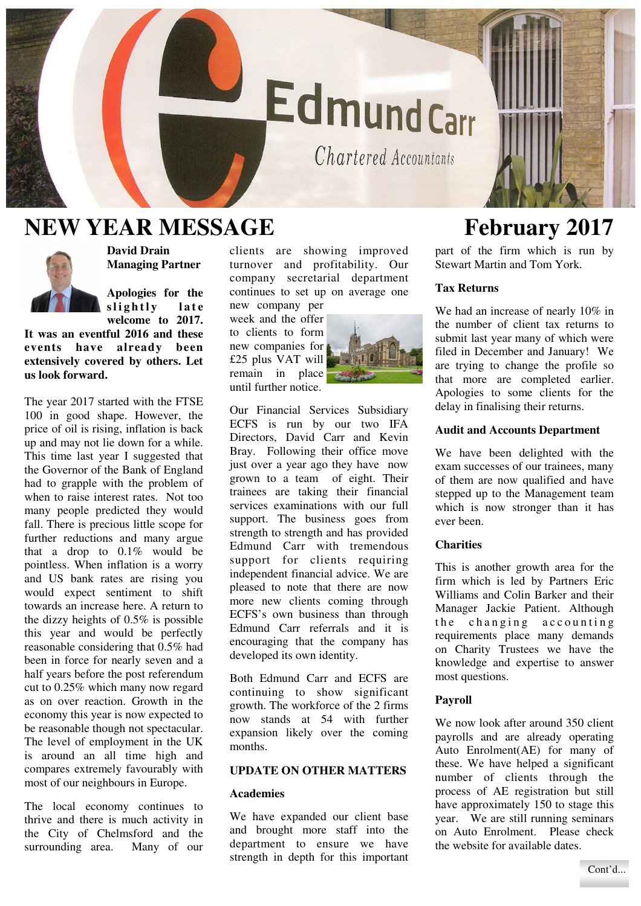# **EdmundCarr**

Chartered Accountants

## **NEW YEAR MESSAGE February 2017**



**David Drain Managing Partner** 

**Apologies for the**  slightly late **welcome to 2017.** 

**It was an eventful 2016 and these events have already been extensively covered by others. Let us look forward.** 

The year 2017 started with the FTSE 100 in good shape. However, the price of oil is rising, inflation is back up and may not lie down for a while. This time last year I suggested that the Governor of the Bank of England had to grapple with the problem of when to raise interest rates. Not too many people predicted they would fall. There is precious little scope for further reductions and many argue that a drop to  $0.1\%$  would be pointless. When inflation is a worry and US bank rates are rising you would expect sentiment to shift towards an increase here. A return to the dizzy heights of 0.5% is possible this year and would be perfectly reasonable considering that 0.5% had been in force for nearly seven and a half years before the post referendum cut to 0.25% which many now regard as on over reaction. Growth in the economy this year is now expected to be reasonable though not spectacular. The level of employment in the UK is around an all time high and compares extremely favourably with most of our neighbours in Europe.

The local economy continues to thrive and there is much activity in the City of Chelmsford and the surrounding area. Many of our clients are showing improved turnover and profitability. Our company secretarial department continues to set up on average one new company per

week and the offer to clients to form new companies for £25 plus VAT will remain in place until further notice.



Our Financial Services Subsidiary ECFS is run by our two IFA Directors, David Carr and Kevin Bray. Following their office move just over a year ago they have now grown to a team of eight. Their trainees are taking their financial services examinations with our full support. The business goes from strength to strength and has provided Edmund Carr with tremendous support for clients requiring independent financial advice. We are pleased to note that there are now more new clients coming through ECFS's own business than through Edmund Carr referrals and it is encouraging that the company has developed its own identity.

Both Edmund Carr and ECFS are continuing to show significant growth. The workforce of the 2 firms now stands at 54 with further expansion likely over the coming months.

## **UPDATE ON OTHER MATTERS**

#### **Academies**

We have expanded our client base and brought more staff into the department to ensure we have strength in depth for this important

part of the firm which is run by Stewart Martin and Tom York.

#### **Tax Returns**

We had an increase of nearly  $10\%$  in the number of client tax returns to submit last year many of which were filed in December and January! We are trying to change the profile so that more are completed earlier. Apologies to some clients for the delay in finalising their returns.

#### **Audit and Accounts Department**

We have been delighted with the exam successes of our trainees, many of them are now qualified and have stepped up to the Management team which is now stronger than it has ever been.

#### **Charities**

This is another growth area for the firm which is led by Partners Eric Williams and Colin Barker and their Manager Jackie Patient. Although the changing accounting requirements place many demands on Charity Trustees we have the knowledge and expertise to answer most questions.

#### **Payroll**

We now look after around 350 client payrolls and are already operating Auto Enrolment(AE) for many of these. We have helped a significant number of clients through the process of AE registration but still have approximately 150 to stage this year. We are still running seminars on Auto Enrolment. Please check the website for available dates.